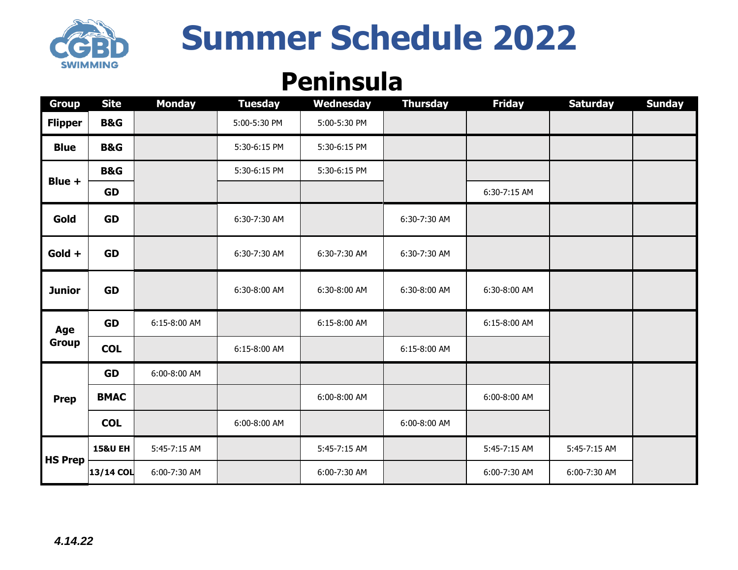

# **Summer Schedule 2022**

#### **Peninsula**

| <b>Group</b>        | <b>Site</b>        | <b>Monday</b> | <b>Tuesday</b> | Wednesday    | <b>Thursday</b> | <b>Friday</b> | <b>Saturday</b> | <b>Sunday</b> |
|---------------------|--------------------|---------------|----------------|--------------|-----------------|---------------|-----------------|---------------|
| <b>Flipper</b>      | <b>B&amp;G</b>     |               | 5:00-5:30 PM   | 5:00-5:30 PM |                 |               |                 |               |
| <b>Blue</b>         | <b>B&amp;G</b>     |               | 5:30-6:15 PM   | 5:30-6:15 PM |                 |               |                 |               |
| Blue +              | <b>B&amp;G</b>     |               | 5:30-6:15 PM   | 5:30-6:15 PM |                 |               |                 |               |
|                     | <b>GD</b>          |               |                |              |                 | 6:30-7:15 AM  |                 |               |
| Gold                | <b>GD</b>          |               | 6:30-7:30 AM   |              | 6:30-7:30 AM    |               |                 |               |
| Gold +              | <b>GD</b>          |               | 6:30-7:30 AM   | 6:30-7:30 AM | 6:30-7:30 AM    |               |                 |               |
| <b>Junior</b>       | <b>GD</b>          |               | 6:30-8:00 AM   | 6:30-8:00 AM | 6:30-8:00 AM    | 6:30-8:00 AM  |                 |               |
| Age<br><b>Group</b> | <b>GD</b>          | 6:15-8:00 AM  |                | 6:15-8:00 AM |                 | 6:15-8:00 AM  |                 |               |
|                     | <b>COL</b>         |               | 6:15-8:00 AM   |              | 6:15-8:00 AM    |               |                 |               |
| <b>Prep</b>         | <b>GD</b>          | 6:00-8:00 AM  |                |              |                 |               |                 |               |
|                     | <b>BMAC</b>        |               |                | 6:00-8:00 AM |                 | 6:00-8:00 AM  |                 |               |
|                     | <b>COL</b>         |               | 6:00-8:00 AM   |              | 6:00-8:00 AM    |               |                 |               |
| <b>HS Prep</b>      | <b>15&amp;U EH</b> | 5:45-7:15 AM  |                | 5:45-7:15 AM |                 | 5:45-7:15 AM  | 5:45-7:15 AM    |               |
|                     | 13/14 COL          | 6:00-7:30 AM  |                | 6:00-7:30 AM |                 | 6:00-7:30 AM  | 6:00-7:30 AM    |               |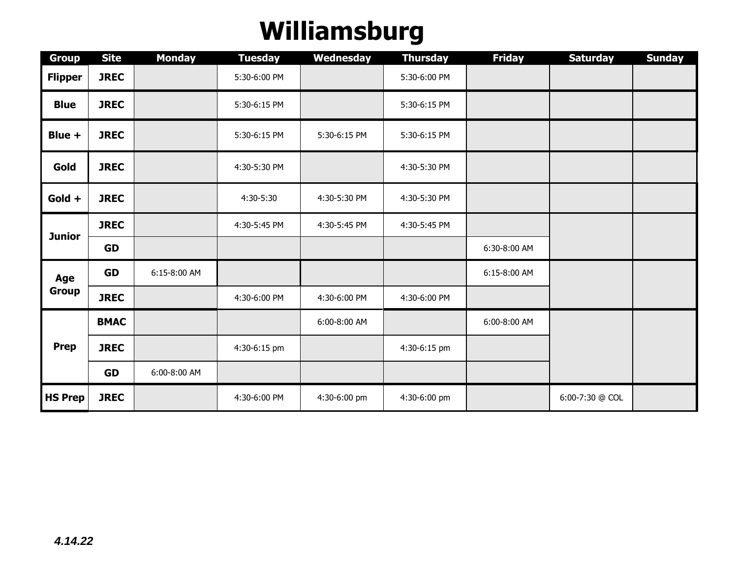## **Williamsburg**

| <b>Group</b>        | <b>Site</b> | <b>Monday</b> | <b>Tuesday</b> | Wednesday    | <b>Thursday</b> | <b>Friday</b> | <b>Saturday</b> | <b>Sunday</b> |
|---------------------|-------------|---------------|----------------|--------------|-----------------|---------------|-----------------|---------------|
| <b>Flipper</b>      | <b>JREC</b> |               | 5:30-6:00 PM   |              | 5:30-6:00 PM    |               |                 |               |
| <b>Blue</b>         | <b>JREC</b> |               | 5:30-6:15 PM   |              | 5:30-6:15 PM    |               |                 |               |
| Blue +              | <b>JREC</b> |               | 5:30-6:15 PM   | 5:30-6:15 PM | 5:30-6:15 PM    |               |                 |               |
| Gold                | <b>JREC</b> |               | 4:30-5:30 PM   |              | 4:30-5:30 PM    |               |                 |               |
| Gold +              | <b>JREC</b> |               | 4:30-5:30      | 4:30-5:30 PM | 4:30-5:30 PM    |               |                 |               |
| <b>Junior</b>       | <b>JREC</b> |               | 4:30-5:45 PM   | 4:30-5:45 PM | 4:30-5:45 PM    |               |                 |               |
|                     | <b>GD</b>   |               |                |              |                 | 6:30-8:00 AM  |                 |               |
| Age<br><b>Group</b> | <b>GD</b>   | 6:15-8:00 AM  |                |              |                 | 6:15-8:00 AM  |                 |               |
|                     | <b>JREC</b> |               | 4:30-6:00 PM   | 4:30-6:00 PM | 4:30-6:00 PM    |               |                 |               |
| <b>Prep</b>         | <b>BMAC</b> |               |                | 6:00-8:00 AM |                 | 6:00-8:00 AM  |                 |               |
|                     | <b>JREC</b> |               | 4:30-6:15 pm   |              | 4:30-6:15 pm    |               |                 |               |
|                     | <b>GD</b>   | 6:00-8:00 AM  |                |              |                 |               |                 |               |
| <b>HS Prep</b>      | <b>JREC</b> |               | 4:30-6:00 PM   | 4:30-6:00 pm | 4:30-6:00 pm    |               | 6:00-7:30 @ COL |               |